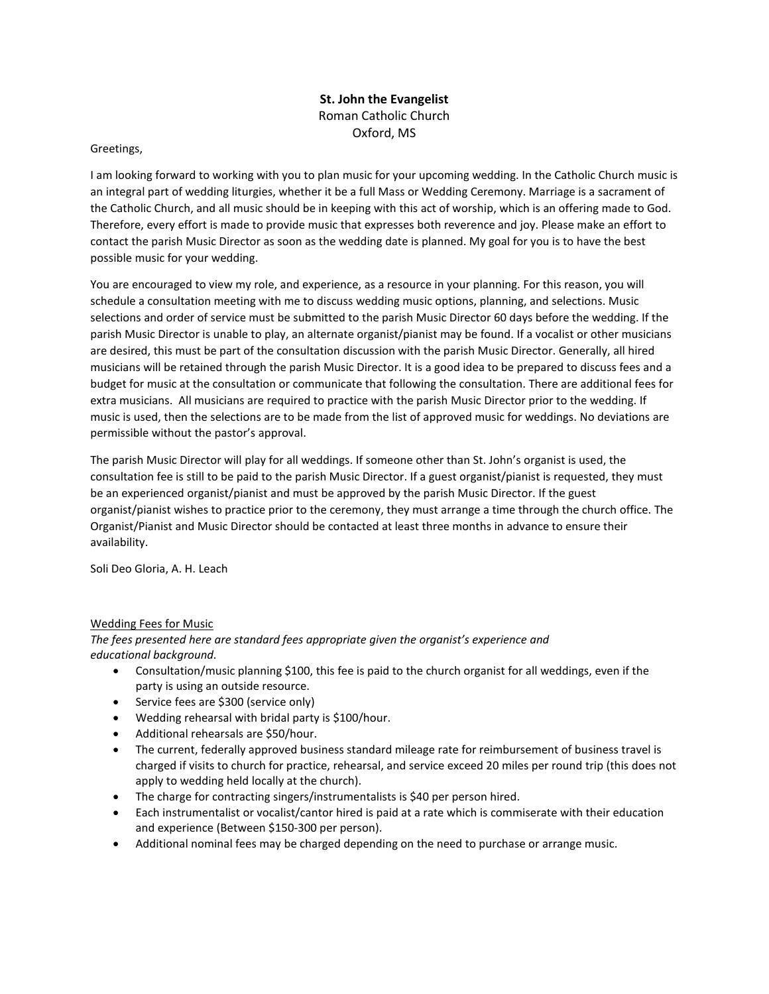## **St. John the Evangelist** Roman Catholic Church Oxford, MS

## Greetings,

I am looking forward to working with you to plan music for your upcoming wedding. In the Catholic Church music is an integral part of wedding liturgies, whether it be a full Mass or Wedding Ceremony. Marriage is a sacrament of the Catholic Church, and all music should be in keeping with this act of worship, which is an offering made to God. Therefore, every effort is made to provide music that expresses both reverence and joy. Please make an effort to contact the parish Music Director as soon as the wedding date is planned. My goal for you is to have the best possible music for your wedding.

You are encouraged to view my role, and experience, as a resource in your planning. For this reason, you will schedule a consultation meeting with me to discuss wedding music options, planning, and selections. Music selections and order of service must be submitted to the parish Music Director 60 days before the wedding. If the parish Music Director is unable to play, an alternate organist/pianist may be found. If a vocalist or other musicians are desired, this must be part of the consultation discussion with the parish Music Director. Generally, all hired musicians will be retained through the parish Music Director. It is a good idea to be prepared to discuss fees and a budget for music at the consultation or communicate that following the consultation. There are additional fees for extra musicians. All musicians are required to practice with the parish Music Director prior to the wedding. If music is used, then the selections are to be made from the list of approved music for weddings. No deviations are permissible without the pastor's approval.

The parish Music Director will play for all weddings. If someone other than St. John's organist is used, the consultation fee is still to be paid to the parish Music Director. If a guest organist/pianist is requested, they must be an experienced organist/pianist and must be approved by the parish Music Director. If the guest organist/pianist wishes to practice prior to the ceremony, they must arrange a time through the church office. The Organist/Pianist and Music Director should be contacted at least three months in advance to ensure their availability.

Soli Deo Gloria, A. H. Leach

## Wedding Fees for Music

*The fees presented here are standard fees appropriate given the organist's experience and educational background.*

- Consultation/music planning \$100, this fee is paid to the church organist for all weddings, even if the party is using an outside resource.
- Service fees are \$300 (service only)
- Wedding rehearsal with bridal party is \$100/hour.
- Additional rehearsals are \$50/hour.
- The current, federally approved business standard mileage rate for reimbursement of business travel is charged if visits to church for practice, rehearsal, and service exceed 20 miles per round trip (this does not apply to wedding held locally at the church).
- The charge for contracting singers/instrumentalists is \$40 per person hired.
- Each instrumentalist or vocalist/cantor hired is paid at a rate which is commiserate with their education and experience (Between \$150-300 per person).
- Additional nominal fees may be charged depending on the need to purchase or arrange music.